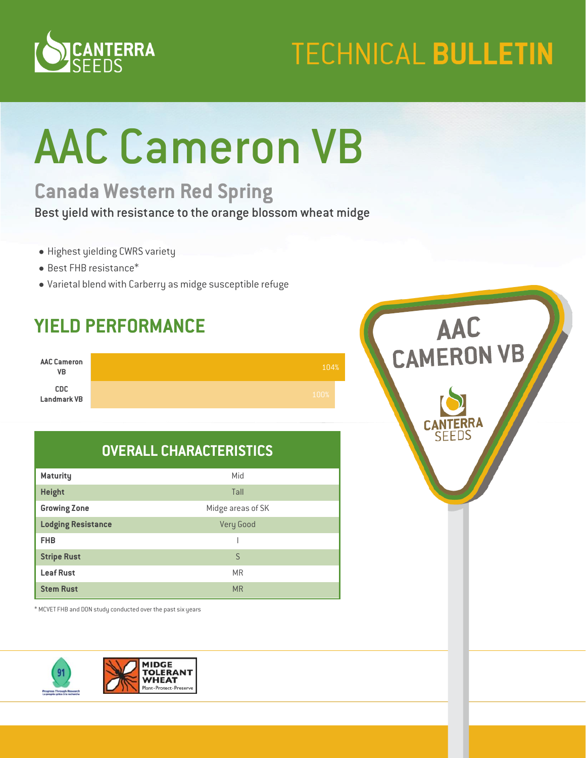

## **TECHNICAL BULLETIN**

# AAC Cameron VB

## **Canada Western Red Spring**

Best yield with resistance to the orange blossom wheat midge

- Highest yielding CWRS variety
- Best FHB resistance\*
- Varietal blend with Carberry as midge susceptible refuge

## **YIELD PERFORMANCE**



#### **OVERALL CHARACTERISTICS**

| <b>Maturity</b>           | Mid               |
|---------------------------|-------------------|
| <b>Height</b>             | Tall              |
| <b>Growing Zone</b>       | Midge areas of SK |
| <b>Lodging Resistance</b> | <b>Very Good</b>  |
| <b>FHB</b>                |                   |
| <b>Stripe Rust</b>        | S                 |
| <b>Leaf Rust</b>          | <b>MR</b>         |
| <b>Stem Rust</b>          | <b>MR</b>         |

\* MCVET FHB and DON study conducted over the past six years